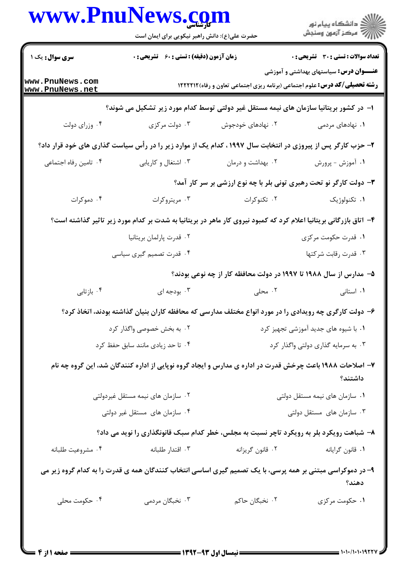| www.PnuNews.com                                                                       | حضرت علی(ع): دانش راهبر نیکویی برای ایمان است      |                                                                                                                   | ر دانشڪاه پيام نور<br>ا∛ مرڪز آزمون وسنڊش       |  |  |
|---------------------------------------------------------------------------------------|----------------------------------------------------|-------------------------------------------------------------------------------------------------------------------|-------------------------------------------------|--|--|
| <b>سری سوال :</b> یک ۱                                                                | <b>زمان آزمون (دقیقه) : تستی : 60 ٪ تشریحی : 0</b> |                                                                                                                   | <b>تعداد سوالات : تستی : 30 ٪ تشریحی : 0</b>    |  |  |
| www.PnuNews.com<br>www.PnuNews.net                                                    |                                                    | <b>رشته تحصیلی/کد درس:</b> علوم اجتماعی (برنامه ریزی اجتماعی تعاون و رفاه) ۱۲۲۲۲۱۲                                | <b>عنــــوان درس:</b> سیاستهای بهداشتی و آموزشی |  |  |
| ا– در کشور بریتانیا سازمان های نیمه مستقل غیر دولتی توسط کدام مورد زیر تشکیل می شوند؟ |                                                    |                                                                                                                   |                                                 |  |  |
| ۰۴ وزرای دولت                                                                         | ۰۳ دولت مرکزی                                      | ۰۲ نهادهای خودجوش                                                                                                 | ۱. نهادهای مردمی                                |  |  |
|                                                                                       |                                                    | ۲- حزب کارگر پس از پیروزی در انتخابت سال ۱۹۹۷ ، کدام یک از موارد زیر را در رأس سیاست گذاری های خود قرار داد؟      |                                                 |  |  |
| ۰۴ تامین رفاه اجتماعی                                                                 | ۰۳ اشتغال و کاریابی                                | ۰۲ بهداشت و درمان                                                                                                 | ۱. آموزش - پرورش                                |  |  |
|                                                                                       |                                                    | 4- دولت کارگر نو تحت رهبری تونی بلر با چه نوع ارزشی بر سر کار آمد؟                                                |                                                 |  |  |
| ۰۴ دموکرات                                                                            | ۰۳ مريتروكرات                                      | ۰۲ تکنوکرات                                                                                                       | ۰۱ تکنولوژیک                                    |  |  |
|                                                                                       |                                                    | ۴- اتاق بازرگانی بریتانیا اعلام کرد که کمبود نیروی کار ماهر در بریتانیا به شدت بر کدام مورد زیر تاثیر گذاشته است؟ |                                                 |  |  |
| ۰۲ قدرت پارلمان بریتانیا                                                              |                                                    |                                                                                                                   | ۰۱ قدرت حکومت مرکزی                             |  |  |
|                                                                                       | ۴. قدرت تصمیم گیری سیاسی                           |                                                                                                                   | ۰۳ قدرت رقابت شركتها                            |  |  |
|                                                                                       |                                                    | ۵– مدارس از سال ۱۹۸۸ تا ۱۹۹۷ در دولت محافظه کار از چه نوعی بودند؟                                                 |                                                 |  |  |
| ۰۴ بازتابی                                                                            | ۰۳ بودجه ای                                        | ۰۲ محلی                                                                                                           | ۰۱ استانی                                       |  |  |
|                                                                                       |                                                    | ۶– دولت کارگری چه رویدادی را در مورد انواع مختلف مدارسی که محافظه کاران بنیان گذاشته بودند، اتخاذ کرد؟            |                                                 |  |  |
| ۰۲ به بخش خصوصی واگذار کرد                                                            |                                                    | ۰۱ با شیوه های جدید آموزشی تجهیز کرد                                                                              |                                                 |  |  |
| ۰۴ تا حد زیادی مانند سابق حفظ کرد                                                     |                                                    | ۰۳ به سرمایه گذاری دولتی واگذار کرد                                                                               |                                                 |  |  |
|                                                                                       |                                                    | ۷– اصلاحات ۱۹۸۸ باعث چرخش قدرت در اداره ی مدارس و ایجاد گروه نوپایی از اداره کنندگان شد، این گروه چه نام          | داشتند؟                                         |  |  |
| ۰۲ سازمان های نیمه مستقل غیردولتی                                                     |                                                    | ۰۱ سازمان های نیمه مستقل دولتی                                                                                    |                                                 |  |  |
| ۰۴ سازمان های مستقل غیر دولتی                                                         |                                                    |                                                                                                                   | ۰۳ سازمان های مستقل دولتی                       |  |  |
|                                                                                       |                                                    | ۸- شباهت رویکرد بلر به رویکرد تاچر نسبت به مجلس، خطر کدام سبک قانونگذاری را نوید می داد؟                          |                                                 |  |  |
| ۰۴ مشروعيت طلبانه                                                                     | ۰۳ اقتدار طلبانه                                   | ۰۲ قانون گريزانه                                                                                                  | ٠١ قانون گرايانه                                |  |  |
|                                                                                       |                                                    | ۹- در دموکراسی مبتنی بر همه پرسی، با یک تصمیم گیری اساسی انتخاب کنندگان همه ی قدرت را به کدام گروه زیر می         | دهند؟                                           |  |  |
| ۰۴ حکومت محلی                                                                         | ۰۳ نخبگان مردمی                                    | ۰۲ نخبگان حاکم                                                                                                    | ۰۱ حکومت مرکزی                                  |  |  |
|                                                                                       |                                                    |                                                                                                                   |                                                 |  |  |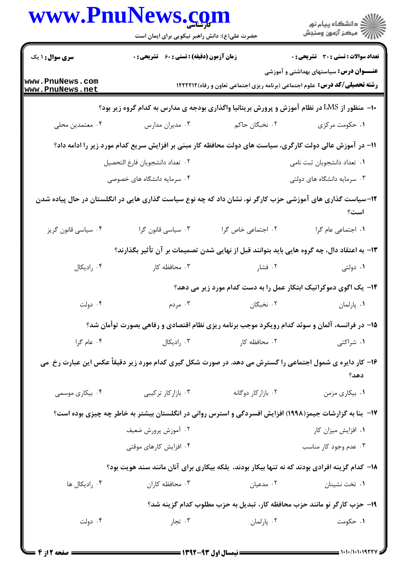|                                                                                             | www.PnuNews.com<br>حضرت علی(ع): دانش راهبر نیکویی برای ایمان است |                            | ِ<br>∭ دانشڪاه پيام نور<br>∭ مرڪز آزمون وسنڊش                                                                                        |  |  |
|---------------------------------------------------------------------------------------------|------------------------------------------------------------------|----------------------------|--------------------------------------------------------------------------------------------------------------------------------------|--|--|
| <b>سری سوال : ۱ یک</b>                                                                      | زمان آزمون (دقیقه) : تستی : 60 ٪ تشریحی : 0                      |                            | <b>تعداد سوالات : تستی : 30 ٪ تشریحی : 0</b>                                                                                         |  |  |
| www.PnuNews.com<br>www.PnuNews.net                                                          |                                                                  |                            | <b>عنـــوان درس:</b> سیاستهای بهداشتی و آموزشی<br><b>رشته تحصیلی/کد درس:</b> علوم اجتماعی (برنامه ریزی اجتماعی تعاون و رفاه) ۱۲۲۲۲۱۲ |  |  |
| +۱− منظور از LMS در نظام آموزش و پرورش بریتانیا واگذاری بودجه ی مدارس به کدام گروه زیر بود؟ |                                                                  |                            |                                                                                                                                      |  |  |
| ۰۴ معتمدين محلي                                                                             | ۰۳ مدیران مدارس                                                  | ۰۲ نخبگان حاکم             | ۰۱ حکومت مرکزی                                                                                                                       |  |  |
|                                                                                             |                                                                  |                            | 11- در آموزش عالی دولت کارگری، سیاست های دولت محافظه کار مبنی بر افزایش سریع کدام مورد زیر را ادامه داد؟                             |  |  |
| ٠١ تعداد دانشجويان ثبت نامي<br>٢. تعداد دانشجويان فارغ التحصيل                              |                                                                  |                            |                                                                                                                                      |  |  |
|                                                                                             | ۰۴ سرمایه دانشگاه های خصوصی                                      |                            | ۰۳ سرمایه دانشگاه های دولتی                                                                                                          |  |  |
|                                                                                             |                                                                  |                            | ۱۲–سیاست گذاری های آموزشی حزب کارگر نو، نشان داد که چه نوع سیاست گذاری هایی در انگلستان در حال پیاده شدن<br>است؟                     |  |  |
| ۰۴ سیاسی قانون گریز                                                                         | ۰۳ سیاسی قانون گرا                                               | ٠٢ اجتماعي خاص گرا         | ٠١. اجتماعي عام كرا                                                                                                                  |  |  |
| ۱۳– به اعتقاد دال، چه گروه هایی باید بتوانند قبل از نهایی شدن تصمیمات بر آن تأثیر بگذارند؟  |                                                                  |                            |                                                                                                                                      |  |  |
| ۰۴ رادیکال                                                                                  | ۰۳ محافظه کار                                                    | ۰۲ فشار                    | ۰۱ دولتی                                                                                                                             |  |  |
|                                                                                             |                                                                  |                            | ۱۴- یک اگوی دموکراتیک ابتکار عمل را به دست کدام مورد زیر می دهد؟                                                                     |  |  |
| ۰۴ دولت                                                                                     | ۰۳ مردم                                                          | ۰۲ نخبگان                  | ٠١. پارلمان                                                                                                                          |  |  |
|                                                                                             |                                                                  |                            | ۱۵- در فرانسه، آلمان و سوئد کدام رویکرد موجب برنامه ریزی نظام اقتصادی و رفاهی بصورت توأمان شد؟                                       |  |  |
| ۰۴ عام گرا                                                                                  |                                                                  | ۰۲ محافظه کار درادیکال ۲۰۰ | ۰۱ شراکتی                                                                                                                            |  |  |
|                                                                                             |                                                                  |                            | ۱۶– کار دایره ی شمول اجتماعی را گسترش می دهد. در صورت شکل گیری کدام مورد زیر دقیقاً عکس این عبارت رخ می<br>دهد؟                      |  |  |
| ۰۴ بیکاری موسمی                                                                             | ۰۳ بازارکار ترکیبی                                               | ۰۲ بازارکار دوگانه         | ۰۱ بیکاری مزمن                                                                                                                       |  |  |
|                                                                                             |                                                                  |                            | ۱۷– بنا به گزارشات جیمز(۱۹۹۸) افزایش افسردگی و استرس روانی در انگلستان بیشتر به خاطر چه چیزی بوده است؟                               |  |  |
|                                                                                             | ۰۲ آموزش پرورش ضعیف                                              |                            | ۰۱ افزایش میزان کار                                                                                                                  |  |  |
|                                                                                             | ۰۴ افزایش کارهای موقتی                                           |                            | ۰۳ عدم وجود کار مناسب                                                                                                                |  |  |
|                                                                                             |                                                                  |                            | ۱۸– کدام گزینه افرادی بودند که نه تنها بیکار بودند، بلکه بیکاری برای آنان مانند سند هویت بود؟                                        |  |  |
| ۰۴ رادیکال ها                                                                               | ۰۳ محافظه کاران                                                  | ۰۲ مدعیان                  | ۰۱ تخت نشینان                                                                                                                        |  |  |
|                                                                                             |                                                                  |                            | 1۹- حزب کارگر نو مانند حزب محافظه کار، تبدیل به حزب مطلوب کدام گزینه شد؟                                                             |  |  |
| ۰۴ دولت                                                                                     | ۰۳ تجار                                                          | ۰۲ پارلمان                 | ۰۱ حکومت                                                                                                                             |  |  |
|                                                                                             |                                                                  |                            |                                                                                                                                      |  |  |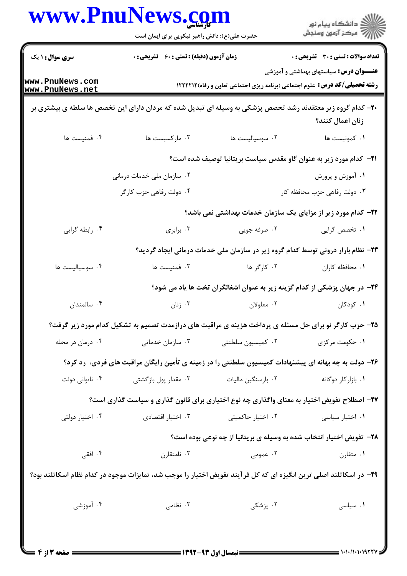|                                    | www.PnuNews.com<br>حضرت علی(ع): دانش راهبر نیکویی برای ایمان است                                                   |                    | .<br>د انشگاه پيام نور<br>7- مرکز آزمون وسنجش                                                                                          |  |
|------------------------------------|--------------------------------------------------------------------------------------------------------------------|--------------------|----------------------------------------------------------------------------------------------------------------------------------------|--|
| <b>سری سوال : ۱ یک</b>             | زمان آزمون (دقیقه) : تستی : 60 ٪ تشریحی : 0                                                                        |                    | تعداد سوالات : تستي : 30 ٪ تشريحي : 0                                                                                                  |  |
| www.PnuNews.com<br>www.PnuNews.net |                                                                                                                    |                    | <b>عنــــوان درس :</b> سیاستهای بهداشتی و آموزشی<br><b>رشته تحصیلی/کد درس:</b> علوم اجتماعی (برنامه ریزی اجتماعی تعاون و رفاه) ۱۲۲۲۲۱۲ |  |
|                                    | +۲- کدام گروه زیر معتقدند رشد تحصص پزشکی به وسیله ای تبدیل شده که مردان دارای این تخصص ها سلطه ی بیشتری بر         |                    | زنان اعمال كنند؟                                                                                                                       |  |
| ۰۴ فمنيست ها                       | ۰۳ مارکسیست ها                                                                                                     | ٠٢ سوسياليست ها    | ٠١ كمونيست ها                                                                                                                          |  |
|                                    |                                                                                                                    |                    | <b>۲۱</b> – کدام مورد زیر به عنوان گاو مقدس سیاست بریتانیا توصیف شده است؟                                                              |  |
|                                    | ۰۲ سازمان ملی خدمات درمانی                                                                                         |                    | ۰۱ آموزش و پرورش                                                                                                                       |  |
|                                    | ۰۴ دولت رفاهي حزب كارگر                                                                                            |                    | ۰۳ دولت رفاهی حزب محافظه کار                                                                                                           |  |
|                                    |                                                                                                                    |                    | ۲۲- کدام مورد زیر از مزایای یک سازمان خدمات بهداشتی نمی باشد؟                                                                          |  |
| ۰۴ رابطه گرایی                     | ۰۳ برابری                                                                                                          | ۰۲ صرفه جویی       | ۰۱ تخصص گرایی                                                                                                                          |  |
|                                    |                                                                                                                    |                    | ۲۳- نظام بازار درونی توسط کدام گروه زیر در سازمان ملی خدمات درمانی ایجاد گردید؟                                                        |  |
| ۰۴ سوسیالیست ها                    | ۰۳ فمنیست ها                                                                                                       | ۰۲ کارگر ها        | ٠١. محافظه كاران                                                                                                                       |  |
|                                    |                                                                                                                    |                    | ۲۴– در جهان پزشکی از کدام گزینه زیر به عنوان اشغالگران تخت ها یاد می شود؟                                                              |  |
| ۰۴ سالمندان                        | ۰۳ زنان                                                                                                            | ۰۲ معلولان         | ۰۱ کودکان                                                                                                                              |  |
|                                    | ۲۵- حزب کارگر نو برای حل مسئله ی پرداخت هزینه ی مراقبت های درازمدت تصمیم به تشکیل کدام مورد زیر گرفت؟              |                    |                                                                                                                                        |  |
| ۰۴ درمان در محله                   | ۰۲ کمیسیون سلطنتی مسلم ۲۰ سازمان خدماتی                                                                            |                    | ۰۱ حکومت مرکزی                                                                                                                         |  |
|                                    | ۲۶– دولت به چه بهانه ای پیشنهادات کمیسیون سلطنتی را در زمینه ی تأمین رایگان مراقبت های فردی، رد کرد؟               |                    |                                                                                                                                        |  |
| ۰۴ ناتوانی دولت                    | ۰۳ مقدار پول بازگشتی                                                                                               | ۰۲ بارسنگین مالیات | ۰۱ بازار کار دوگانه                                                                                                                    |  |
|                                    | ۲۷- اصطلاح تفویض اختیار به معنای واگذاری چه نوع اختیاری برای قانون گذاری و سیاست گذاری است؟                        |                    |                                                                                                                                        |  |
| ۰۴ اختیار دولتی                    | ۰۳ اختیار اقتصادی                                                                                                  | ۰۲ اختیار حاکمیتی  | ۰۱ اختیار سیاسی                                                                                                                        |  |
|                                    |                                                                                                                    |                    | ۲۸- تفویض اختیار انتخاب شده به وسیله ی بریتانیا از چه نوعی بوده است؟                                                                   |  |
| ۰۴ افقی                            | ۰۳ نامتقارن                                                                                                        | ۰۲ عمومی           | ۰۱ متقارن                                                                                                                              |  |
|                                    | ۲۹- در اسکاتلند اصلی ترین انگیزه ای که کل فرآیند تفویض اختیار را موجب شد، تمایزات موجود در کدام نظام اسکاتلند بود؟ |                    |                                                                                                                                        |  |
| ۰۴ آموزشی                          | نظامی $\cdot$ ۳ . نظامی                                                                                            | ۲. پزشکی           | ۰۱ سیاسی                                                                                                                               |  |
|                                    |                                                                                                                    |                    |                                                                                                                                        |  |
|                                    |                                                                                                                    |                    | 1.1.11111444                                                                                                                           |  |